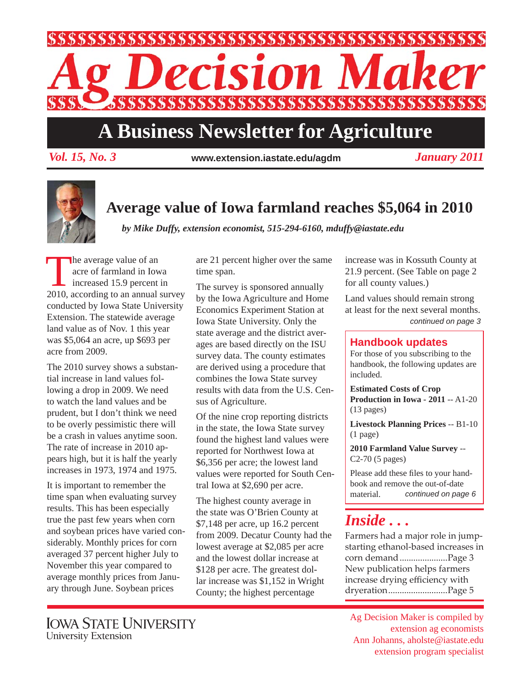

# **A Business Newsletter for Agriculture**

*Vol. 15, No. 3 January 2011* **www.extension.iastate.edu/agdm**



### **Average value of Iowa farmland reaches \$5,064 in 2010**

*by Mike Duffy, extension economist, 515-294-6160, mduffy@iastate.edu*

the average value of an<br>
acre of farmland in Iowa<br>
increased 15.9 percent in<br>
2010, assorting to an annual curacre of farmland in Iowa 2010, according to an annual survey conducted by Iowa State University Extension. The statewide average land value as of Nov. 1 this year was \$5,064 an acre, up \$693 per acre from 2009.

The 2010 survey shows a substantial increase in land values following a drop in 2009. We need to watch the land values and be prudent, but I don't think we need to be overly pessimistic there will be a crash in values anytime soon. The rate of increase in 2010 appears high, but it is half the yearly increases in 1973, 1974 and 1975.

It is important to remember the time span when evaluating survey results. This has been especially true the past few years when corn and soybean prices have varied considerably. Monthly prices for corn averaged 37 percent higher July to November this year compared to average monthly prices from January through June. Soybean prices

are 21 percent higher over the same time span.

The survey is sponsored annually by the Iowa Agriculture and Home Economics Experiment Station at Iowa State University. Only the state average and the district averages are based directly on the ISU survey data. The county estimates are derived using a procedure that combines the Iowa State survey results with data from the U.S. Census of Agriculture.

Of the nine crop reporting districts in the state, the Iowa State survey found the highest land values were reported for Northwest Iowa at \$6,356 per acre; the lowest land values were reported for South Central Iowa at \$2,690 per acre.

The highest county average in the state was O'Brien County at \$7,148 per acre, up 16.2 percent from 2009. Decatur County had the lowest average at \$2,085 per acre and the lowest dollar increase at \$128 per acre. The greatest dollar increase was \$1,152 in Wright County; the highest percentage

increase was in Kossuth County at 21.9 percent. (See Table on page 2 for all county values.)

*continued on page 3* Land values should remain strong at least for the next several months.

#### **Handbook updates**

For those of you subscribing to the handbook, the following updates are included.

**Estimated Costs of Crop Production in Iowa - 2011** -- A1-20 (13 pages)

**Livestock Planning Prices** -- B1-10 (1 page)

**2010 Farmland Value Survey** -- C2-70 (5 pages)

Please add these files to your handbook and remove the out-of-date material. *continued on page 6*

# *Inside . . .*

Farmers had a major role in jumpstarting ethanol-based increases in corn demand .....................Page 3 New publication helps farmers increase drying efficiency with dryeration ..........................Page 5

Ag Decision Maker is compiled by extension ag economists Ann Johanns, aholste@iastate.edu extension program specialist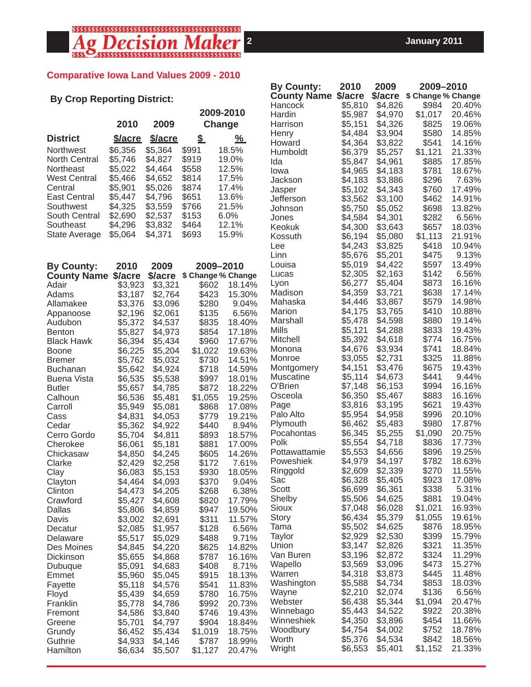# 

#### **Comparative Iowa Land Values 2009 - 2010**

|                                    |                    |                    |                           |                  | <b>By County:</b>          | 2010<br>2009<br>2009-2010 |                    |                            |                  |
|------------------------------------|--------------------|--------------------|---------------------------|------------------|----------------------------|---------------------------|--------------------|----------------------------|------------------|
| <b>By Crop Reporting District:</b> |                    |                    |                           |                  | <b>County Name \$/acre</b> |                           |                    | \$/acre \$ Change % Change |                  |
|                                    |                    | 2009-2010          |                           |                  | Hancock                    | \$5,810                   | \$4,826            | \$984                      | 20.40%           |
|                                    |                    |                    |                           |                  | Hardin                     | \$5,987                   | \$4,970            | \$1,017                    | 20.46%           |
|                                    | 2010               | 2009               | Change                    |                  | Harrison                   | \$5,151                   | \$4,326            | \$825                      | 19.06%           |
| <b>District</b>                    | <b>S/acre</b>      | <b>\$/acre</b>     | $\mathbf{\underline{\$}}$ | <u>%</u>         | Henry                      | \$4,484                   | \$3,904            | \$580                      | 14.85%           |
| Northwest                          | \$6,356            | \$5,364            | \$991                     | 18.5%            | Howard<br>Humboldt         | \$4,364<br>\$6,379        | \$3,822<br>\$5,257 | \$541<br>\$1,121           | 14.16%<br>21.33% |
| North Central                      | \$5,746            | \$4,827            | \$919                     | 19.0%            | Ida                        | \$5,847                   | \$4,961            | \$885                      | 17.85%           |
| Northeast                          | \$5,022            | \$4,464            | \$558                     | 12.5%            | lowa                       | \$4,965                   | \$4,183            | \$781                      | 18.67%           |
| <b>West Central</b>                | \$5,466            | \$4,652            | \$814                     | 17.5%            | Jackson                    | \$4,183                   | \$3,886            | \$296                      | 7.63%            |
| Central                            | \$5,901            | \$5,026            | \$874                     | 17.4%            | Jasper                     | \$5,102                   | \$4,343            | \$760                      | 17.49%           |
| East Central                       | \$5,447            | \$4,796            | \$651                     | 13.6%            | Jefferson                  | \$3,562                   | \$3,100            | \$462                      | 14.91%           |
| Southwest                          | \$4,325            | \$3,559            | \$766                     | 21.5%            | Johnson                    | \$5,750                   | \$5,052            | \$698                      | 13.82%           |
| South Central                      | \$2,690            | \$2,537            | \$153                     | 6.0%             | Jones                      | \$4,584                   | \$4,301            | \$282                      | 6.56%            |
| Southeast                          | \$4,296            | \$3,832            | \$464                     | 12.1%            | Keokuk                     | \$4,300                   | \$3,643            | \$657                      | 18.03%           |
| <b>State Average</b>               | \$5,064            | \$4,371            | \$693                     | 15.9%            | Kossuth                    | \$6,194                   | \$5,080            | \$1,113                    | 21.91%           |
|                                    |                    |                    |                           |                  | Lee                        | \$4,243                   | \$3,825            | \$418                      | 10.94%           |
|                                    |                    |                    |                           |                  | Linn                       | \$5,676                   | \$5,201            | \$475                      | 9.13%            |
| <b>By County:</b>                  | 2010               | 2009               | 2009-2010                 |                  | Louisa                     | \$5,019                   | \$4,422            | \$597                      | 13.49%           |
| <b>County Name \$/acre</b>         |                    | \$/acre            | \$ Change % Change        |                  | Lucas                      | \$2,305                   | \$2,163            | \$142                      | 6.56%            |
| Adair                              | \$3,923            | \$3,321            | \$602                     | 18.14%           | Lyon                       | \$6,277                   | \$5,404            | \$873                      | 16.16%           |
| Adams                              | \$3,187            | \$2,764            | \$423                     | 15.30%           | Madison                    | \$4,359                   | \$3,721            | \$638                      | 17.14%           |
| Allamakee                          | \$3,376            | \$3,096            | \$280                     | 9.04%            | Mahaska                    | \$4,446                   | \$3,867            | \$579                      | 14.98%           |
| Appanoose                          | \$2,196            | \$2,061            | \$135                     | 6.56%            | Marion                     | \$4,175<br>\$5,478        | \$3,765            | \$410                      | 10.88%           |
| Audubon                            | \$5,372            | \$4,537            | \$835                     | 18.40%           | Marshall<br>Mills          | \$5,121                   | \$4,598<br>\$4,288 | \$880<br>\$833             | 19.14%<br>19.43% |
| <b>Benton</b>                      | \$5,827            | \$4,973            | \$854                     | 17.18%           | Mitchell                   | \$5,392                   | \$4,618            | \$774                      | 16.75%           |
| <b>Black Hawk</b>                  | \$6,394            | \$5,434            | \$960                     | 17.67%           | Monona                     | \$4,676                   | \$3,934            | \$741                      | 18.84%           |
| <b>Boone</b>                       | \$6,225<br>\$5,762 | \$5,204<br>\$5,032 | \$1,022<br>\$730          | 19.63%<br>14.51% | Monroe                     | \$3,055                   | \$2,731            | \$325                      | 11.88%           |
| <b>Bremer</b><br><b>Buchanan</b>   | \$5,642            | \$4,924            | \$718                     | 14.59%           | Montgomery                 | \$4,151                   | \$3,476            | \$675                      | 19.43%           |
| <b>Buena Vista</b>                 | \$6,535            | \$5,538            | \$997                     | 18.01%           | <b>Muscatine</b>           | \$5,114                   | \$4,673            | \$441                      | 9.44%            |
| <b>Butler</b>                      | \$5,657            | \$4,785            | \$872                     | 18.22%           | O'Brien                    | \$7,148                   | \$6,153            | \$994                      | 16.16%           |
| Calhoun                            | \$6,536            | \$5,481            | \$1,055                   | 19.25%           | Osceola                    | \$6,350                   | \$5,467            | \$883                      | 16.16%           |
| Carroll                            | \$5,949            | \$5,081            | \$868                     | 17.08%           | Page                       | \$3,816                   | \$3,195            | \$621                      | 19.43%           |
| Cass                               | \$4,831            | \$4,053            | \$779                     | 19.21%           | Palo Alto                  | \$5,954                   | \$4,958            | \$996                      | 20.10%           |
| Cedar                              | \$5,362            | \$4,922            | \$440                     | 8.94%            | Plymouth                   | \$6,462                   | \$5,483            | \$980                      | 17.87%           |
| Cerro Gordo                        | \$5,704            | \$4,811            | \$893                     | 18.57%           | Pocahontas                 | \$6,345                   | \$5,255            | \$1,090                    | 20.75%           |
| Cherokee                           | \$6,061            | \$5,181            | \$881                     | 17.00%           | Polk                       | \$5,554                   | \$4,718            | \$836                      | 17.73%           |
| Chickasaw                          | \$4,850            | \$4,245            | \$605                     | 14.26%           | Pottawattamie              | \$5,553                   | \$4,656            | \$896                      | 19.25%           |
| Clarke                             | \$2,429            | \$2,258            | \$172                     | 7.61%            | Poweshiek                  | \$4,979                   | \$4,197            | \$782                      | 18.63%           |
| Clay                               | \$6,083            | \$5,153            | \$930                     | 18.05%           | Ringgold                   | \$2,609                   | \$2,339            | \$270                      | 11.55%           |
| Clayton                            | \$4,464            | \$4,093            | \$370                     | 9.04%            | Sac<br>Scott               | \$6,328<br>\$6,699        | \$5,405<br>\$6,361 | \$923<br>\$338             | 17.08%<br>5.31%  |
| Clinton                            | \$4,473            | \$4,205            | \$268                     | 6.38%            | Shelby                     | \$5,506                   | \$4,625            | \$881                      | 19.04%           |
| Crawford                           | \$5,427            | \$4,608            | \$820                     | 17.79%           | Sioux                      | \$7,048                   | \$6,028            | \$1,021                    | 16.93%           |
| Dallas<br>Davis                    | \$5,806<br>\$3,002 | \$4,859<br>\$2,691 | \$947<br>\$311            | 19.50%<br>11.57% | Story                      | \$6,434                   | \$5,379            | \$1,055                    | 19.61%           |
| Decatur                            | \$2,085            | \$1,957            | \$128                     | 6.56%            | Tama                       | \$5,502                   | \$4,625            | \$876                      | 18.95%           |
| Delaware                           | \$5,517            | \$5,029            | \$488                     | 9.71%            | Taylor                     | \$2,929                   | \$2,530            | \$399                      | 15.79%           |
| Des Moines                         | \$4,845            | \$4,220            | \$625                     | 14.82%           | Union                      | \$3,147                   | \$2,826            | \$321                      | 11.35%           |
| Dickinson                          | \$5,655            | \$4,868            | \$787                     | 16.16%           | Van Buren                  | \$3,196                   | \$2,872            | \$324                      | 11.29%           |
| Dubuque                            | \$5,091            | \$4,683            | \$408                     | 8.71%            | Wapello                    | \$3,569                   | \$3,096            | \$473                      | 15.27%           |
| Emmet                              | \$5,960            | \$5,045            | \$915                     | 18.13%           | Warren                     | \$4,318                   | \$3,873            | \$445                      | 11.48%           |
| Fayette                            | \$5,118            | \$4,576            | \$541                     | 11.83%           | Washington                 | \$5,588                   | \$4,734            | \$853                      | 18.03%           |
| Floyd                              | \$5,439            | \$4,659            | \$780                     | 16.75%           | Wayne                      | \$2,210                   | \$2,074            | \$136                      | 6.56%            |
| Franklin                           | \$5,778            | \$4,786            | \$992                     | 20.73%           | Webster                    | \$6,438                   | \$5,344            | \$1,094                    | 20.47%           |
| Fremont                            | \$4,586            | \$3,840            | \$746                     | 19.43%           | Winnebago                  | \$5,443                   | \$4,522            | \$922                      | 20.38%           |
| Greene                             | \$5,701            | \$4,797            | \$904                     | 18.84%           | Winneshiek                 | \$4,350                   | \$3,896            | \$454                      | 11.66%           |
| Grundy                             | \$6,452            | \$5,434            | \$1,019                   | 18.75%           | Woodbury                   | \$4,754                   | \$4,002            | \$752                      | 18.78%           |
| Guthrie                            | \$4,933            | \$4,146            | \$787                     | 18.99%           | Worth                      | \$5,376                   | \$4,534            | \$842                      | 18.56%           |
| Hamilton                           | \$6,634            | \$5,507            | \$1,127                   | 20.47%           | Wright                     | \$6,553                   | \$5,401            | \$1,152                    | 21.33%           |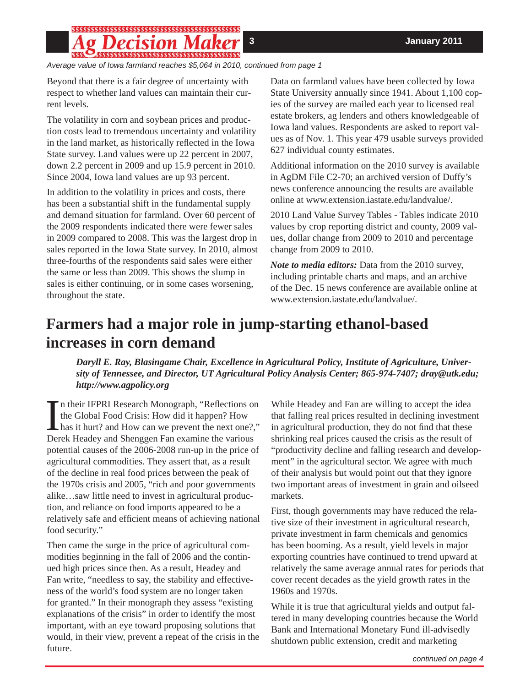# $\sim$  ,  $\sim$  ,  $\sim$  ,  $\sim$  ,  $\sim$  ,  $\sim$  ,  $\sim$  ,  $\sim$  ,  $\sim$  ,  $\sim$  ,  $\sim$  ,  $\sim$  ,  $\sim$  ,  $\sim$  ,  $\sim$  ,  $\sim$  ,  $\sim$  ,  $\sim$  ,  $\sim$  ,  $\sim$  ,  $\sim$  ,  $\sim$  ,  $\sim$  ,  $\sim$  ,  $\sim$  ,  $\sim$  ,  $\sim$  ,  $\sim$  ,  $\sim$  ,  $\sim$  ,  $\sim$  ,  $\sim$

*Average value of Iowa farmland reaches \$5,064 in 2010, continued from page 1*

Beyond that there is a fair degree of uncertainty with respect to whether land values can maintain their current levels.

The volatility in corn and soybean prices and production costs lead to tremendous uncertainty and volatility in the land market, as historically reflected in the Iowa State survey. Land values were up 22 percent in 2007, down 2.2 percent in 2009 and up 15.9 percent in 2010. Since 2004, Iowa land values are up 93 percent.

In addition to the volatility in prices and costs, there has been a substantial shift in the fundamental supply and demand situation for farmland. Over 60 percent of the 2009 respondents indicated there were fewer sales in 2009 compared to 2008. This was the largest drop in sales reported in the Iowa State survey. In 2010, almost three-fourths of the respondents said sales were either the same or less than 2009. This shows the slump in sales is either continuing, or in some cases worsening, throughout the state.

Data on farmland values have been collected by Iowa State University annually since 1941. About 1,100 copies of the survey are mailed each year to licensed real estate brokers, ag lenders and others knowledgeable of Iowa land values. Respondents are asked to report values as of Nov. 1. This year 479 usable surveys provided 627 individual county estimates.

Additional information on the 2010 survey is available in AgDM File C2-70; an archived version of Duffy's news conference announcing the results are available online at www.extension.iastate.edu/landvalue/.

2010 Land Value Survey Tables - Tables indicate 2010 values by crop reporting district and county, 2009 values, dollar change from 2009 to 2010 and percentage change from 2009 to 2010.

*Note to media editors:* Data from the 2010 survey, including printable charts and maps, and an archive of the Dec. 15 news conference are available online at www.extension.iastate.edu/landvalue/.

# **Farmers had a major role in jump-starting ethanol-based increases in corn demand**

*Daryll E. Ray, Blasingame Chair, Excellence in Agricultural Policy, Institute of Agriculture, University of Tennessee, and Director, UT Agricultural Policy Analysis Center; 865-974-7407; dray@utk.edu; http://www.agpolicy.org*

In their IFPRI Research Monograph, "Reflections of the Global Food Crisis: How did it happen? How has it hurt? and How can we prevent the next one?, Derek Headey and Shenggen Fan examine the various In their IFPRI Research Monograph, "Reflections on the Global Food Crisis: How did it happen? How has it hurt? and How can we prevent the next one?," potential causes of the 2006-2008 run-up in the price of agricultural commodities. They assert that, as a result of the decline in real food prices between the peak of the 1970s crisis and 2005, "rich and poor governments alike…saw little need to invest in agricultural production, and reliance on food imports appeared to be a relatively safe and efficient means of achieving national food security."

Then came the surge in the price of agricultural commodities beginning in the fall of 2006 and the continued high prices since then. As a result, Headey and Fan write, "needless to say, the stability and effectiveness of the world's food system are no longer taken for granted." In their monograph they assess "existing explanations of the crisis" in order to identify the most important, with an eye toward proposing solutions that would, in their view, prevent a repeat of the crisis in the future.

While Headey and Fan are willing to accept the idea that falling real prices resulted in declining investment in agricultural production, they do not find that these shrinking real prices caused the crisis as the result of "productivity decline and falling research and development" in the agricultural sector. We agree with much of their analysis but would point out that they ignore two important areas of investment in grain and oilseed markets.

First, though governments may have reduced the relative size of their investment in agricultural research, private investment in farm chemicals and genomics has been booming. As a result, yield levels in major exporting countries have continued to trend upward at relatively the same average annual rates for periods that cover recent decades as the yield growth rates in the 1960s and 1970s.

While it is true that agricultural yields and output faltered in many developing countries because the World Bank and International Monetary Fund ill-advisedly shutdown public extension, credit and marketing